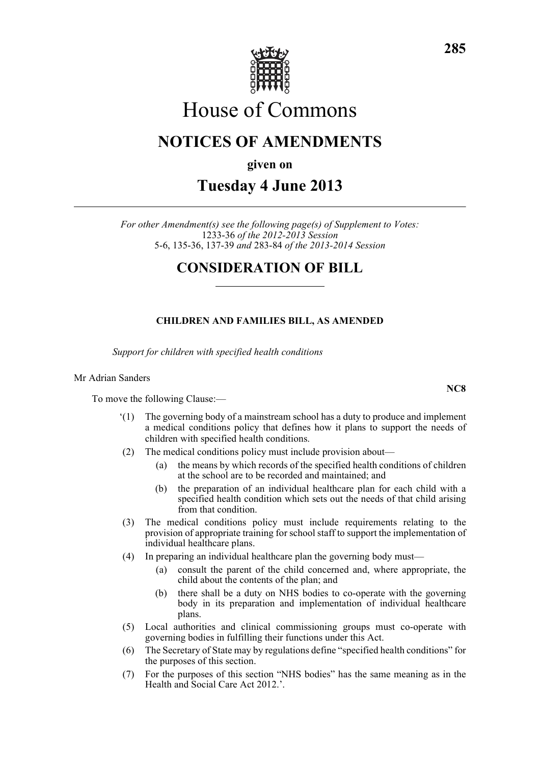

# House of Commons

# **NOTICES OF AMENDMENTS**

**given on**

# **Tuesday 4 June 2013**

*For other Amendment(s) see the following page(s) of Supplement to Votes:* 1233-36 *of the 2012-2013 Session* 5-6, 135-36, 137-39 *and* 283-84 *of the 2013-2014 Session*

# **CONSIDERATION OF BILL**

## **CHILDREN AND FAMILIES BILL, AS AMENDED**

*Support for children with specified health conditions*

#### Mr Adrian Sanders

To move the following Clause:—

- '(1) The governing body of a mainstream school has a duty to produce and implement a medical conditions policy that defines how it plans to support the needs of children with specified health conditions.
- (2) The medical conditions policy must include provision about—
	- (a) the means by which records of the specified health conditions of children at the school are to be recorded and maintained; and
	- (b) the preparation of an individual healthcare plan for each child with a specified health condition which sets out the needs of that child arising from that condition.
- (3) The medical conditions policy must include requirements relating to the provision of appropriate training for school staff to support the implementation of individual healthcare plans.
- (4) In preparing an individual healthcare plan the governing body must—
	- (a) consult the parent of the child concerned and, where appropriate, the child about the contents of the plan; and
	- (b) there shall be a duty on NHS bodies to co-operate with the governing body in its preparation and implementation of individual healthcare plans.
- (5) Local authorities and clinical commissioning groups must co-operate with governing bodies in fulfilling their functions under this Act.
- (6) The Secretary of State may by regulations define "specified health conditions" for the purposes of this section.
- (7) For the purposes of this section "NHS bodies" has the same meaning as in the Health and Social Care Act 2012.'.

**NC8**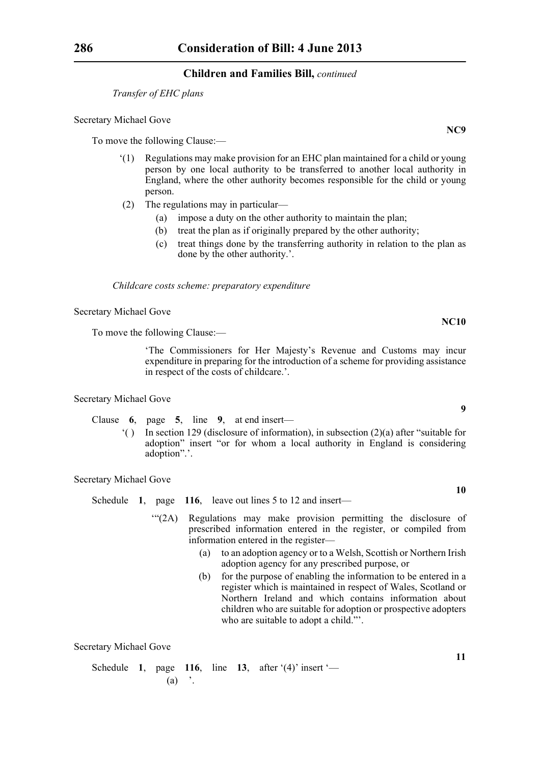*Transfer of EHC plans*

#### Secretary Michael Gove

To move the following Clause:—

- '(1) Regulations may make provision for an EHC plan maintained for a child or young person by one local authority to be transferred to another local authority in England, where the other authority becomes responsible for the child or young person.
- (2) The regulations may in particular—
	- (a) impose a duty on the other authority to maintain the plan;
	- (b) treat the plan as if originally prepared by the other authority;
	- (c) treat things done by the transferring authority in relation to the plan as done by the other authority.'.

*Childcare costs scheme: preparatory expenditure*

Secretary Michael Gove

To move the following Clause:—

'The Commissioners for Her Majesty's Revenue and Customs may incur expenditure in preparing for the introduction of a scheme for providing assistance in respect of the costs of childcare.'.

Secretary Michael Gove

Clause **6**, page **5**, line **9**, at end insert—

'( ) In section 129 (disclosure of information), in subsection (2)(a) after "suitable for adoption" insert "or for whom a local authority in England is considering adoption".'.

Secretary Michael Gove

- Schedule **1**, page **116**, leave out lines 5 to 12 and insert—
	- '"(2A) Regulations may make provision permitting the disclosure of prescribed information entered in the register, or compiled from information entered in the register—
		- (a) to an adoption agency or to a Welsh, Scottish or Northern Irish adoption agency for any prescribed purpose, or
		- (b) for the purpose of enabling the information to be entered in a register which is maintained in respect of Wales, Scotland or Northern Ireland and which contains information about children who are suitable for adoption or prospective adopters who are suitable to adopt a child."'.

Secretary Michael Gove

Schedule **1**, page **116**, line **13**, after '(4)' insert '—  $(a)$  '.

**NC9**

**9**

**NC10**

**10**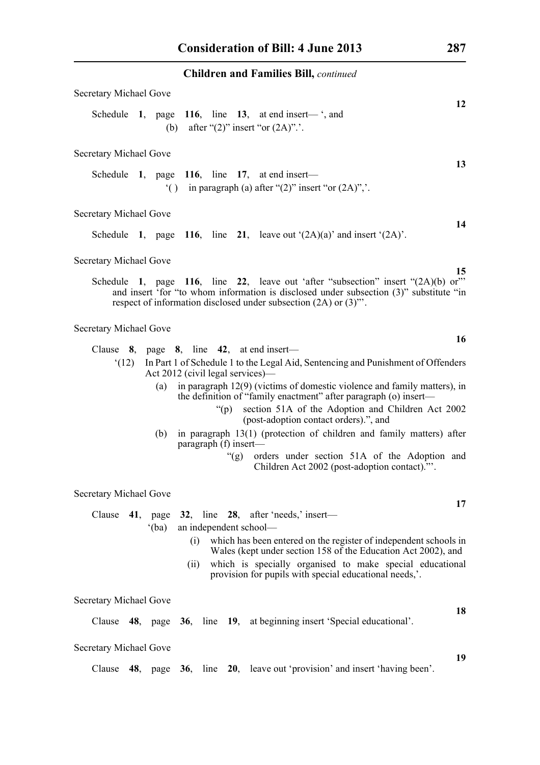| Secretary Michael Gove                                                                                                                                                                                                                                                                                              |  |  |
|---------------------------------------------------------------------------------------------------------------------------------------------------------------------------------------------------------------------------------------------------------------------------------------------------------------------|--|--|
| 12<br>Schedule 1, page 116, line 13, at end insert— $\cdot$ , and<br>(b) after " $(2)$ " insert "or $(2A)$ ".                                                                                                                                                                                                       |  |  |
| <b>Secretary Michael Gove</b>                                                                                                                                                                                                                                                                                       |  |  |
| 13<br>Schedule 1, page 116, line 17, at end insert—<br>() in paragraph (a) after " $(2)$ " insert "or $(2A)$ ", ".                                                                                                                                                                                                  |  |  |
| Secretary Michael Gove                                                                                                                                                                                                                                                                                              |  |  |
| 14<br>Schedule 1, page 116, line 21, leave out $(2A)(a)$ and insert $(2A)$ .                                                                                                                                                                                                                                        |  |  |
| Secretary Michael Gove<br>15                                                                                                                                                                                                                                                                                        |  |  |
| Schedule 1, page 116, line 22, leave out 'after "subsection" insert "(2A)(b) or"<br>and insert 'for "to whom information is disclosed under subsection (3)" substitute "in<br>respect of information disclosed under subsection (2A) or (3)".                                                                       |  |  |
| <b>Secretary Michael Gove</b>                                                                                                                                                                                                                                                                                       |  |  |
| 16<br>Clause $8$ , page $8$ , line $42$ , at end insert—                                                                                                                                                                                                                                                            |  |  |
| In Part 1 of Schedule 1 to the Legal Aid, Sentencing and Punishment of Offenders<br>(12)<br>Act 2012 (civil legal services)—                                                                                                                                                                                        |  |  |
| in paragraph $12(9)$ (victims of domestic violence and family matters), in<br>(a)<br>the definition of "family enactment" after paragraph (o) insert—<br>section 51A of the Adoption and Children Act 2002<br>" $(p)$<br>(post-adoption contact orders).", and                                                      |  |  |
| in paragraph 13(1) (protection of children and family matters) after<br>(b)                                                                                                                                                                                                                                         |  |  |
| paragraph (f) insert-<br>"(g) orders under section 51A of the Adoption and<br>Children Act 2002 (post-adoption contact)."'.                                                                                                                                                                                         |  |  |
| Secretary Michael Gove                                                                                                                                                                                                                                                                                              |  |  |
| 17<br>Clause 41, page 32, line 28, after 'needs,' insert-                                                                                                                                                                                                                                                           |  |  |
| an independent school-<br>$^{\circ}$ (ba)<br>which has been entered on the register of independent schools in<br>(i)<br>Wales (kept under section 158 of the Education Act 2002), and<br>which is specially organised to make special educational<br>(ii)<br>provision for pupils with special educational needs,'. |  |  |
| <b>Secretary Michael Gove</b>                                                                                                                                                                                                                                                                                       |  |  |
| 18<br>Clause 48, page 36, line 19, at beginning insert 'Special educational'.                                                                                                                                                                                                                                       |  |  |
| Secretary Michael Gove                                                                                                                                                                                                                                                                                              |  |  |
| 19<br>Clause 48, page 36, line 20, leave out 'provision' and insert 'having been'.                                                                                                                                                                                                                                  |  |  |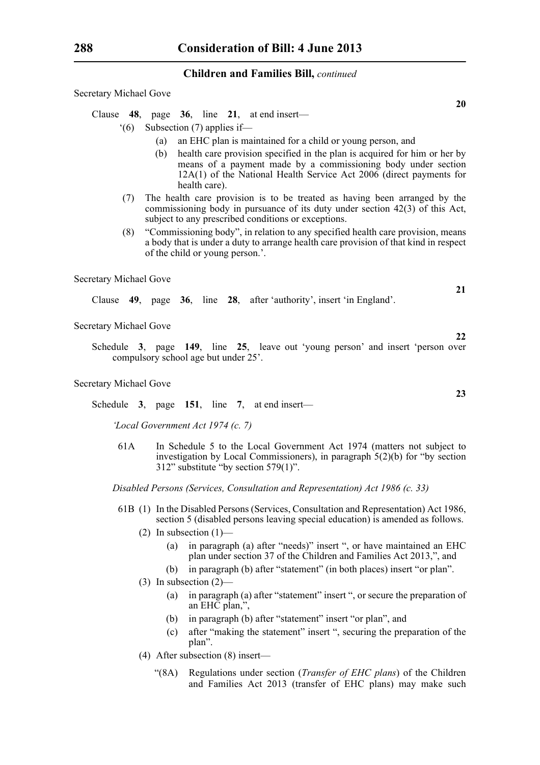Secretary Michael Gove

Clause **48**, page **36**, line **21**, at end insert—

- '(6) Subsection (7) applies if—
	- (a) an EHC plan is maintained for a child or young person, and
	- (b) health care provision specified in the plan is acquired for him or her by means of a payment made by a commissioning body under section 12A(1) of the National Health Service Act 2006 (direct payments for health care).
- (7) The health care provision is to be treated as having been arranged by the commissioning body in pursuance of its duty under section 42(3) of this Act, subject to any prescribed conditions or exceptions.
- (8) "Commissioning body", in relation to any specified health care provision, means a body that is under a duty to arrange health care provision of that kind in respect of the child or young person.'.

Secretary Michael Gove

Clause **49**, page **36**, line **28**, after 'authority', insert 'in England'.

Secretary Michael Gove

Schedule **3**, page **149**, line **25**, leave out 'young person' and insert 'person over compulsory school age but under 25'.

Secretary Michael Gove

Schedule **3**, page **151**, line **7**, at end insert—

*'Local Government Act 1974 (c. 7)*

61A In Schedule 5 to the Local Government Act 1974 (matters not subject to investigation by Local Commissioners), in paragraph 5(2)(b) for "by section 312" substitute "by section 579(1)".

*Disabled Persons (Services, Consultation and Representation) Act 1986 (c. 33)*

- 61B (1) In the Disabled Persons (Services, Consultation and Representation) Act 1986, section 5 (disabled persons leaving special education) is amended as follows.
	- (2) In subsection  $(1)$ 
		- (a) in paragraph (a) after "needs)" insert ", or have maintained an EHC plan under section 37 of the Children and Families Act 2013,", and
		- (b) in paragraph (b) after "statement" (in both places) insert "or plan".
	- (3) In subsection (2)—
		- (a) in paragraph (a) after "statement" insert ", or secure the preparation of an EHC plan,",
		- (b) in paragraph (b) after "statement" insert "or plan", and
		- (c) after "making the statement" insert ", securing the preparation of the plan".
	- (4) After subsection (8) insert—
		- "(8A) Regulations under section (*Transfer of EHC plans*) of the Children and Families Act 2013 (transfer of EHC plans) may make such

**20**

**23**

**21**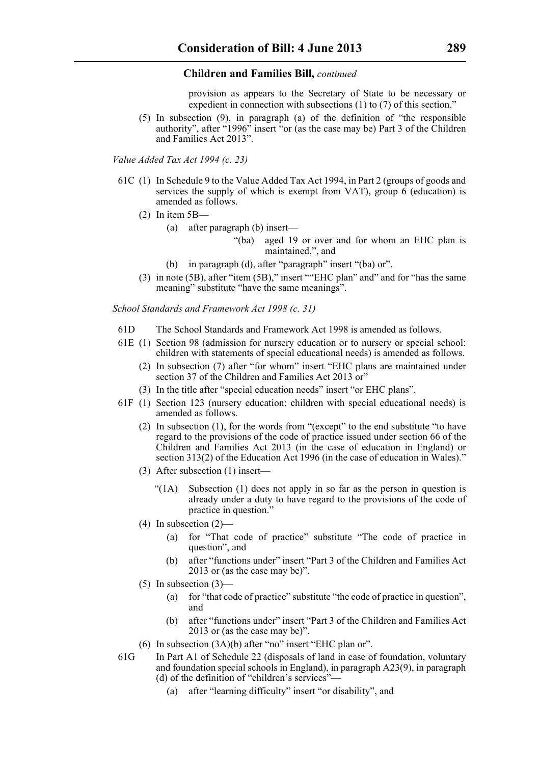provision as appears to the Secretary of State to be necessary or expedient in connection with subsections (1) to (7) of this section."

(5) In subsection (9), in paragraph (a) of the definition of "the responsible authority", after "1996" insert "or (as the case may be) Part 3 of the Children and Families Act 2013".

*Value Added Tax Act 1994 (c. 23)*

- 61C (1) In Schedule 9 to the Value Added Tax Act 1994, in Part 2 (groups of goods and services the supply of which is exempt from VAT), group 6 (education) is amended as follows.
	- (2) In item 5B—
		- (a) after paragraph (b) insert—
			- "(ba) aged 19 or over and for whom an EHC plan is maintained,", and
		- (b) in paragraph (d), after "paragraph" insert "(ba) or".
	- (3) in note (5B), after "item (5B)," insert ""EHC plan" and" and for "has the same meaning" substitute "have the same meanings".

*School Standards and Framework Act 1998 (c. 31)*

- 61D The School Standards and Framework Act 1998 is amended as follows.
- 61E (1) Section 98 (admission for nursery education or to nursery or special school: children with statements of special educational needs) is amended as follows.
	- (2) In subsection (7) after "for whom" insert "EHC plans are maintained under section 37 of the Children and Families Act 2013 or"
	- (3) In the title after "special education needs" insert "or EHC plans".
- 61F (1) Section 123 (nursery education: children with special educational needs) is amended as follows.
	- (2) In subsection (1), for the words from "(except" to the end substitute "to have regard to the provisions of the code of practice issued under section 66 of the Children and Families Act 2013 (in the case of education in England) or section 313(2) of the Education Act 1996 (in the case of education in Wales)."
	- (3) After subsection (1) insert—
		- "( $1A$ ) Subsection  $(1)$  does not apply in so far as the person in question is already under a duty to have regard to the provisions of the code of practice in question."
	- (4) In subsection  $(2)$ 
		- (a) for "That code of practice" substitute "The code of practice in question", and
		- (b) after "functions under" insert "Part 3 of the Children and Families Act 2013 or (as the case may be)".
	- $(5)$  In subsection  $(3)$ 
		- (a) for "that code of practice" substitute "the code of practice in question", and
		- (b) after "functions under" insert "Part 3 of the Children and Families Act 2013 or (as the case may be)".
	- (6) In subsection (3A)(b) after "no" insert "EHC plan or".
- 61G In Part A1 of Schedule 22 (disposals of land in case of foundation, voluntary and foundation special schools in England), in paragraph A23(9), in paragraph (d) of the definition of "children's services"—
	- (a) after "learning difficulty" insert "or disability", and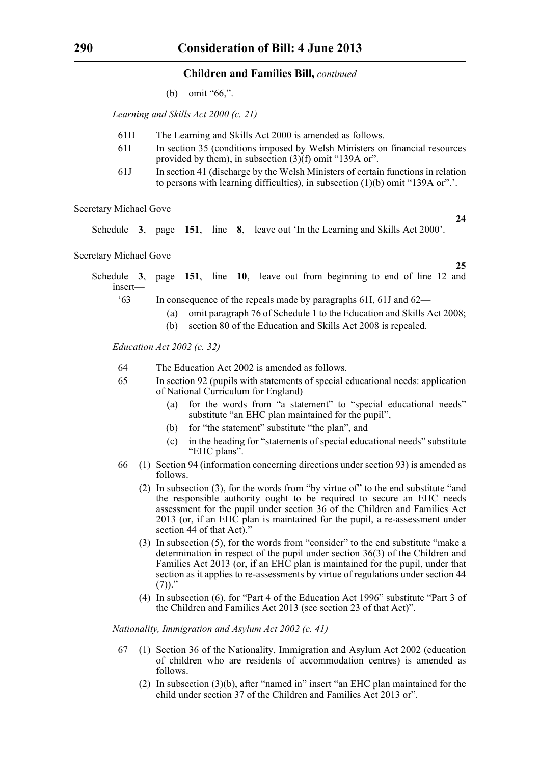(b) omit "66,".

*Learning and Skills Act 2000 (c. 21)*

- 61H The Learning and Skills Act 2000 is amended as follows.
- 61I In section 35 (conditions imposed by Welsh Ministers on financial resources provided by them), in subsection (3)(f) omit "139A or".
- 61J In section 41 (discharge by the Welsh Ministers of certain functions in relation to persons with learning difficulties), in subsection (1)(b) omit "139A or".'.

Secretary Michael Gove

Schedule **3**, page **151**, line **8**, leave out 'In the Learning and Skills Act 2000'.

Secretary Michael Gove

**25**

**24**

Schedule **3**, page **151**, line **10**, leave out from beginning to end of line 12 and insert—

'63 In consequence of the repeals made by paragraphs 61I, 61J and 62—

- (a) omit paragraph 76 of Schedule 1 to the Education and Skills Act 2008;
- (b) section 80 of the Education and Skills Act 2008 is repealed.

*Education Act 2002 (c. 32)*

- 64 The Education Act 2002 is amended as follows.
- 65 In section 92 (pupils with statements of special educational needs: application of National Curriculum for England)—
	- (a) for the words from "a statement" to "special educational needs" substitute "an EHC plan maintained for the pupil".
	- (b) for "the statement" substitute "the plan", and
	- (c) in the heading for "statements of special educational needs" substitute "EHC plans".
- 66 (1) Section 94 (information concerning directions under section 93) is amended as follows.
	- (2) In subsection (3), for the words from "by virtue of" to the end substitute "and the responsible authority ought to be required to secure an EHC needs assessment for the pupil under section 36 of the Children and Families Act 2013 (or, if an EHC plan is maintained for the pupil, a re-assessment under section 44 of that Act)."
	- (3) In subsection (5), for the words from "consider" to the end substitute "make a determination in respect of the pupil under section 36(3) of the Children and Families Act 2013 (or, if an EHC plan is maintained for the pupil, under that section as it applies to re-assessments by virtue of regulations under section 44  $(7)$ )."
	- (4) In subsection (6), for "Part 4 of the Education Act 1996" substitute "Part 3 of the Children and Families Act 2013 (see section 23 of that Act)".

*Nationality, Immigration and Asylum Act 2002 (c. 41)*

- 67 (1) Section 36 of the Nationality, Immigration and Asylum Act 2002 (education of children who are residents of accommodation centres) is amended as follows.
	- (2) In subsection (3)(b), after "named in" insert "an EHC plan maintained for the child under section 37 of the Children and Families Act 2013 or".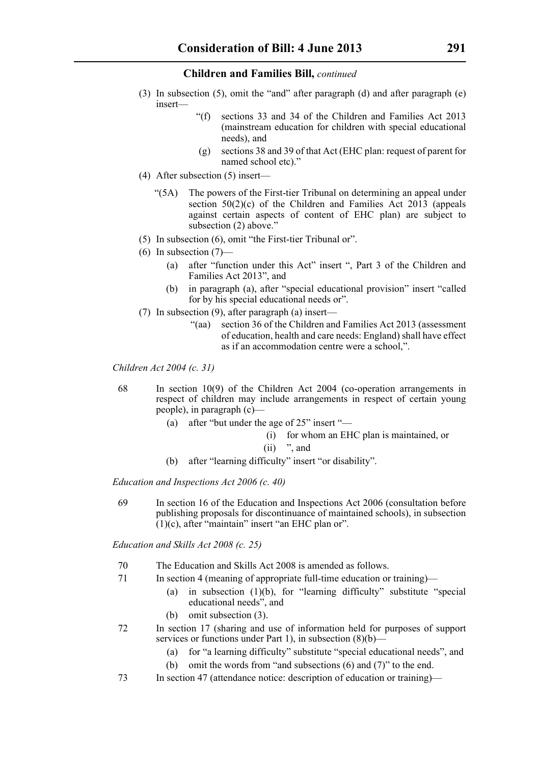- (3) In subsection (5), omit the "and" after paragraph (d) and after paragraph (e) insert—
	- "(f) sections 33 and 34 of the Children and Families Act 2013 (mainstream education for children with special educational needs) and
	- (g) sections 38 and 39 of that Act (EHC plan: request of parent for named school etc)."
- (4) After subsection (5) insert—
	- "(5A) The powers of the First-tier Tribunal on determining an appeal under section  $50(2)(c)$  of the Children and Families Act  $20\overline{13}$  (appeals against certain aspects of content of EHC plan) are subject to subsection (2) above."
- (5) In subsection (6), omit "the First-tier Tribunal or".
- $(6)$  In subsection  $(7)$ 
	- (a) after "function under this Act" insert ", Part 3 of the Children and Families Act 2013", and
	- (b) in paragraph (a), after "special educational provision" insert "called for by his special educational needs or".
- (7) In subsection (9), after paragraph (a) insert—
	- "(aa) section 36 of the Children and Families Act 2013 (assessment of education, health and care needs: England) shall have effect as if an accommodation centre were a school,".

*Children Act 2004 (c. 31)*

- 68 In section 10(9) of the Children Act 2004 (co-operation arrangements in respect of children may include arrangements in respect of certain young people), in paragraph (c)—
	- (a) after "but under the age of 25" insert "—
		- (i) for whom an EHC plan is maintained, or
		- $(ii)$  ", and
	- (b) after "learning difficulty" insert "or disability".

*Education and Inspections Act 2006 (c. 40)*

69 In section 16 of the Education and Inspections Act 2006 (consultation before publishing proposals for discontinuance of maintained schools), in subsection  $(1)(c)$ , after "maintain" insert "an EHC plan or".

*Education and Skills Act 2008 (c. 25)*

- 70 The Education and Skills Act 2008 is amended as follows.
- 71 In section 4 (meaning of appropriate full-time education or training)—
	- (a) in subsection  $(1)(b)$ , for "learning difficulty" substitute "special educational needs", and
	- (b) omit subsection (3).
- 72 In section 17 (sharing and use of information held for purposes of support services or functions under Part 1), in subsection (8)(b)—
	- (a) for "a learning difficulty" substitute "special educational needs", and
	- (b) omit the words from "and subsections (6) and (7)" to the end.
- 73 In section 47 (attendance notice: description of education or training)—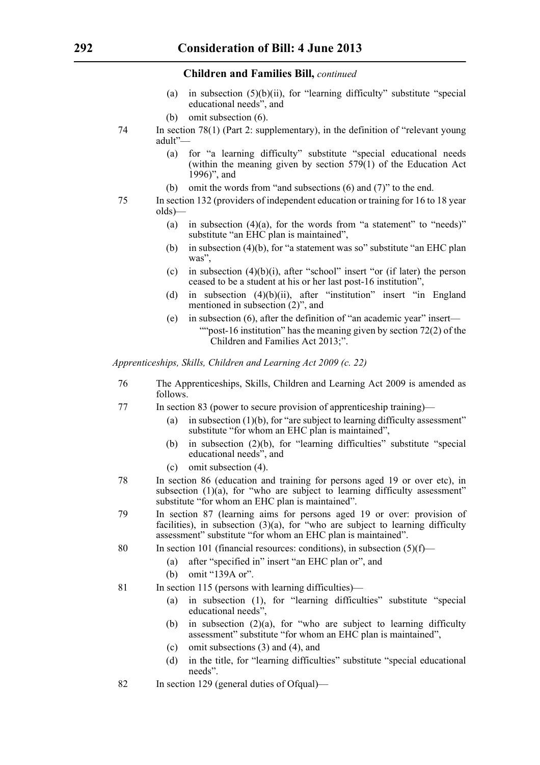- (a) in subsection  $(5)(b)(ii)$ , for "learning difficulty" substitute "special educational needs", and
- (b) omit subsection (6).
- 74 In section 78(1) (Part 2: supplementary), in the definition of "relevant young adult"—
	- (a) for "a learning difficulty" substitute "special educational needs (within the meaning given by section  $579(1)$  of the Education Act 1996)", and
	- (b) omit the words from "and subsections (6) and (7)" to the end.
- 75 In section 132 (providers of independent education or training for 16 to 18 year olds)—
	- (a) in subsection  $(4)(a)$ , for the words from "a statement" to "needs)" substitute "an EHC plan is maintained",
	- (b) in subsection (4)(b), for "a statement was so" substitute "an EHC plan was",
	- (c) in subsection  $(4)(b)(i)$ , after "school" insert "or (if later) the person ceased to be a student at his or her last post-16 institution",
	- (d) in subsection  $(4)(b)(ii)$ , after "institution" insert "in England mentioned in subsection (2)", and
	- (e) in subsection (6), after the definition of "an academic year" insert— ""post-16 institution" has the meaning given by section  $72(2)$  of the Children and Families Act 2013;".

*Apprenticeships, Skills, Children and Learning Act 2009 (c. 22)*

- 76 The Apprenticeships, Skills, Children and Learning Act 2009 is amended as follows.
- 77 In section 83 (power to secure provision of apprenticeship training)—
	- (a) in subsection  $(1)(b)$ , for "are subject to learning difficulty assessment" substitute "for whom an EHC plan is maintained",
	- (b) in subsection (2)(b), for "learning difficulties" substitute "special educational needs", and
	- (c) omit subsection (4).
- 78 In section 86 (education and training for persons aged 19 or over etc), in subsection  $(1)(a)$ , for "who are subject to learning difficulty assessment" substitute "for whom an EHC plan is maintained".
- 79 In section 87 (learning aims for persons aged 19 or over: provision of facilities), in subsection (3)(a), for "who are subject to learning difficulty assessment" substitute "for whom an EHC plan is maintained".
- 80 In section 101 (financial resources: conditions), in subsection (5)(f)—
	- (a) after "specified in" insert "an EHC plan or", and
	- (b) omit "139A or".
- 81 In section 115 (persons with learning difficulties)—
	- (a) in subsection (1), for "learning difficulties" substitute "special educational needs",
	- (b) in subsection  $(2)(a)$ , for "who are subject to learning difficulty assessment" substitute "for whom an EHC plan is maintained",
	- (c) omit subsections (3) and (4), and
	- (d) in the title, for "learning difficulties" substitute "special educational needs".
- 82 In section 129 (general duties of Ofqual)—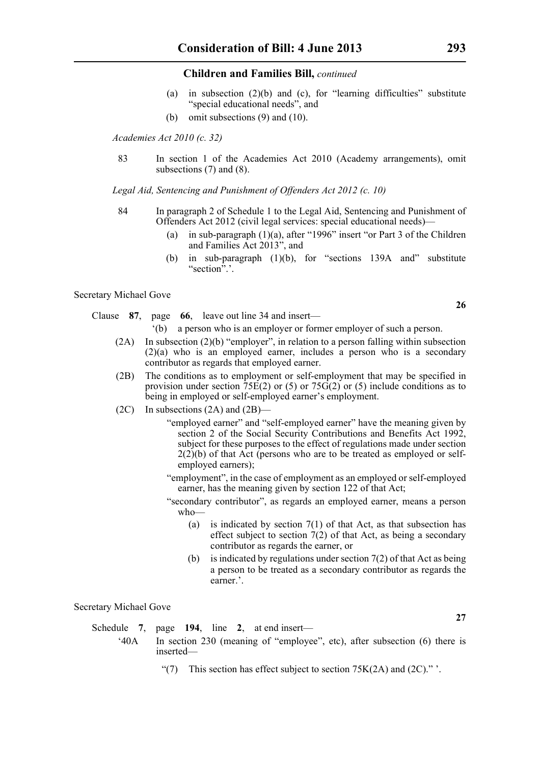- (a) in subsection (2)(b) and (c), for "learning difficulties" substitute "special educational needs", and
- (b) omit subsections (9) and (10).

*Academies Act 2010 (c. 32)*

83 In section 1 of the Academies Act 2010 (Academy arrangements), omit subsections (7) and (8).

*Legal Aid, Sentencing and Punishment of Offenders Act 2012 (c. 10)*

- 84 In paragraph 2 of Schedule 1 to the Legal Aid, Sentencing and Punishment of Offenders Act 2012 (civil legal services: special educational needs)—
	- (a) in sub-paragraph (1)(a), after "1996" insert "or Part 3 of the Children and Families Act 2013", and
	- (b) in sub-paragraph (1)(b), for "sections 139A and" substitute "section".'.

#### Secretary Michael Gove

- Clause **87**, page **66**, leave out line 34 and insert—
	- '(b) a person who is an employer or former employer of such a person.
	- (2A) In subsection (2)(b) "employer", in relation to a person falling within subsection (2)(a) who is an employed earner, includes a person who is a secondary contributor as regards that employed earner.
	- (2B) The conditions as to employment or self-employment that may be specified in provision under section  $75E(2)$  or (5) or  $75G(2)$  or (5) include conditions as to being in employed or self-employed earner's employment.
	- (2C) In subsections (2A) and (2B)—
		- "employed earner" and "self-employed earner" have the meaning given by section 2 of the Social Security Contributions and Benefits Act 1992, subject for these purposes to the effect of regulations made under section  $2(2)(b)$  of that Act (persons who are to be treated as employed or selfemployed earners);
		- "employment", in the case of employment as an employed or self-employed earner, has the meaning given by section 122 of that Act;
		- "secondary contributor", as regards an employed earner, means a person who—
			- (a) is indicated by section  $7(1)$  of that Act, as that subsection has effect subject to section 7(2) of that Act, as being a secondary contributor as regards the earner, or
			- (b) is indicated by regulations under section  $7(2)$  of that Act as being a person to be treated as a secondary contributor as regards the earner.'.

Secretary Michael Gove

|     | Schedule 7, page 194, line 2, at end insert—                                            |
|-----|-----------------------------------------------------------------------------------------|
| 40A | In section 230 (meaning of "employee", etc), after subsection (6) there is<br>inserted— |

"(7) This section has effect subject to section  $75K(2A)$  and  $(2C)$ ." '.

**26**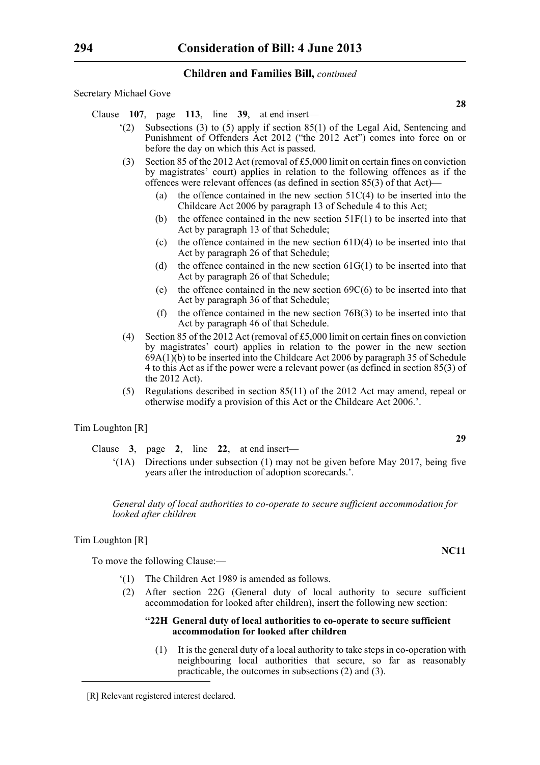Secretary Michael Gove

Clause **107**, page **113**, line **39**, at end insert—

- $(2)$  Subsections (3) to (5) apply if section 85(1) of the Legal Aid, Sentencing and Punishment of Offenders Act 2012 ("the 2012 Act") comes into force on or before the day on which this Act is passed.
- (3) Section 85 of the 2012 Act (removal of £5,000 limit on certain fines on conviction by magistrates' court) applies in relation to the following offences as if the offences were relevant offences (as defined in section 85(3) of that Act)—
	- (a) the offence contained in the new section  $51C(4)$  to be inserted into the Childcare Act 2006 by paragraph 13 of Schedule 4 to this Act;
	- (b) the offence contained in the new section 51F(1) to be inserted into that Act by paragraph 13 of that Schedule;
	- (c) the offence contained in the new section  $61D(4)$  to be inserted into that Act by paragraph 26 of that Schedule;
	- (d) the offence contained in the new section  $61G(1)$  to be inserted into that Act by paragraph 26 of that Schedule;
	- (e) the offence contained in the new section  $69C(6)$  to be inserted into that Act by paragraph 36 of that Schedule;
	- (f) the offence contained in the new section  $76B(3)$  to be inserted into that Act by paragraph 46 of that Schedule.
- (4) Section 85 of the 2012 Act (removal of £5,000 limit on certain fines on conviction by magistrates' court) applies in relation to the power in the new section  $69A(1)(b)$  to be inserted into the Childcare Act 2006 by paragraph 35 of Schedule 4 to this Act as if the power were a relevant power (as defined in section 85(3) of the 2012 Act).
- (5) Regulations described in section 85(11) of the 2012 Act may amend, repeal or otherwise modify a provision of this Act or the Childcare Act 2006.'.

#### Tim Loughton [R]

- Clause **3**, page **2**, line **22**, at end insert—
	- '(1A) Directions under subsection (1) may not be given before May 2017, being five years after the introduction of adoption scorecards.'.

*General duty of local authorities to co-operate to secure sufficient accommodation for looked after children*

#### Tim Loughton [R]

To move the following Clause:—

- '(1) The Children Act 1989 is amended as follows.
- (2) After section 22G (General duty of local authority to secure sufficient accommodation for looked after children), insert the following new section:

#### **"22H General duty of local authorities to co-operate to secure sufficient accommodation for looked after children**

(1) It is the general duty of a local authority to take steps in co-operation with neighbouring local authorities that secure, so far as reasonably practicable, the outcomes in subsections (2) and (3).

#### **NC11**

<sup>[</sup>R] Relevant registered interest declared.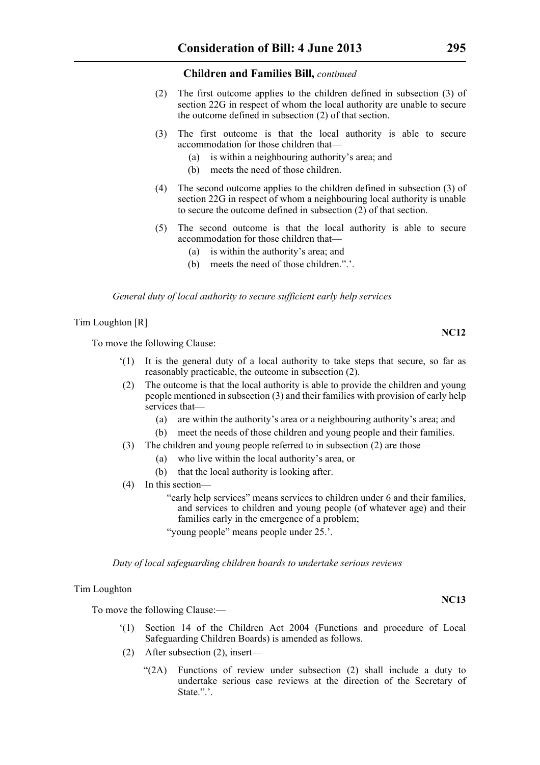- (2) The first outcome applies to the children defined in subsection (3) of section 22G in respect of whom the local authority are unable to secure the outcome defined in subsection (2) of that section.
- (3) The first outcome is that the local authority is able to secure accommodation for those children that—
	- (a) is within a neighbouring authority's area; and
	- (b) meets the need of those children.
- (4) The second outcome applies to the children defined in subsection (3) of section 22G in respect of whom a neighbouring local authority is unable to secure the outcome defined in subsection (2) of that section.
- (5) The second outcome is that the local authority is able to secure accommodation for those children that—
	- (a) is within the authority's area; and
	- (b) meets the need of those children.".'.

*General duty of local authority to secure sufficient early help services*

Tim Loughton [R]

To move the following Clause:—

- '(1) It is the general duty of a local authority to take steps that secure, so far as reasonably practicable, the outcome in subsection (2).
- (2) The outcome is that the local authority is able to provide the children and young people mentioned in subsection (3) and their families with provision of early help services that—
	- (a) are within the authority's area or a neighbouring authority's area; and
	- (b) meet the needs of those children and young people and their families.
- (3) The children and young people referred to in subsection (2) are those—
	- (a) who live within the local authority's area, or
	- (b) that the local authority is looking after.
- (4) In this section—

"early help services" means services to children under 6 and their families, and services to children and young people (of whatever age) and their families early in the emergence of a problem;

"young people" means people under 25.'.

*Duty of local safeguarding children boards to undertake serious reviews*

#### Tim Loughton

To move the following Clause:—

- '(1) Section 14 of the Children Act 2004 (Functions and procedure of Local Safeguarding Children Boards) is amended as follows.
- (2) After subsection (2), insert—
	- "(2A) Functions of review under subsection (2) shall include a duty to undertake serious case reviews at the direction of the Secretary of State.".'.

**NC12**

#### **NC13**